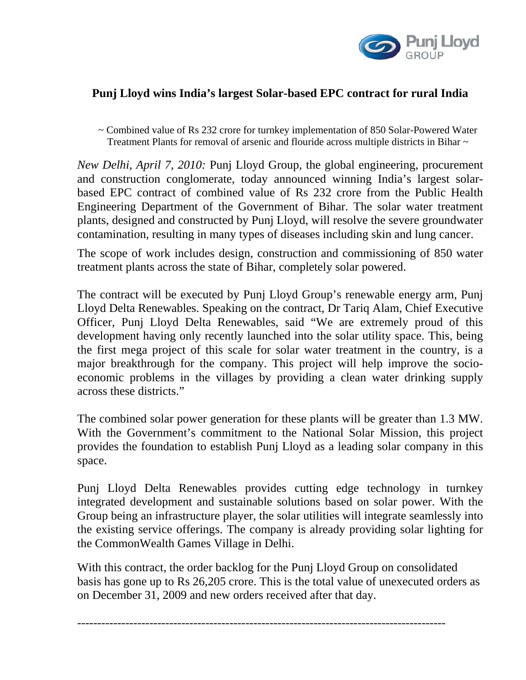

## **Punj Lloyd wins India's largest Solar-based EPC contract for rural India**

~ Combined value of Rs 232 crore for turnkey implementation of 850 Solar-Powered Water Treatment Plants for removal of arsenic and flouride across multiple districts in Bihar  $\sim$ 

*New Delhi, April 7, 2010:* Punj Lloyd Group, the global engineering, procurement and construction conglomerate, today announced winning India's largest solarbased EPC contract of combined value of Rs 232 crore from the Public Health Engineering Department of the Government of Bihar. The solar water treatment plants, designed and constructed by Punj Lloyd, will resolve the severe groundwater contamination, resulting in many types of diseases including skin and lung cancer.

The scope of work includes design, construction and commissioning of 850 water treatment plants across the state of Bihar, completely solar powered.

The contract will be executed by Punj Lloyd Group's renewable energy arm, Punj Lloyd Delta Renewables. Speaking on the contract, Dr Tariq Alam, Chief Executive Officer, Punj Lloyd Delta Renewables, said "We are extremely proud of this development having only recently launched into the solar utility space. This, being the first mega project of this scale for solar water treatment in the country, is a major breakthrough for the company. This project will help improve the socioeconomic problems in the villages by providing a clean water drinking supply across these districts."

The combined solar power generation for these plants will be greater than 1.3 MW. With the Government's commitment to the National Solar Mission, this project provides the foundation to establish Punj Lloyd as a leading solar company in this space.

Punj Lloyd Delta Renewables provides cutting edge technology in turnkey integrated development and sustainable solutions based on solar power. With the Group being an infrastructure player, the solar utilities will integrate seamlessly into the existing service offerings. The company is already providing solar lighting for the CommonWealth Games Village in Delhi.

With this contract, the order backlog for the Punj Lloyd Group on consolidated basis has gone up to Rs 26,205 crore. This is the total value of unexecuted orders as on December 31, 2009 and new orders received after that day.

--------------------------------------------------------------------------------------------